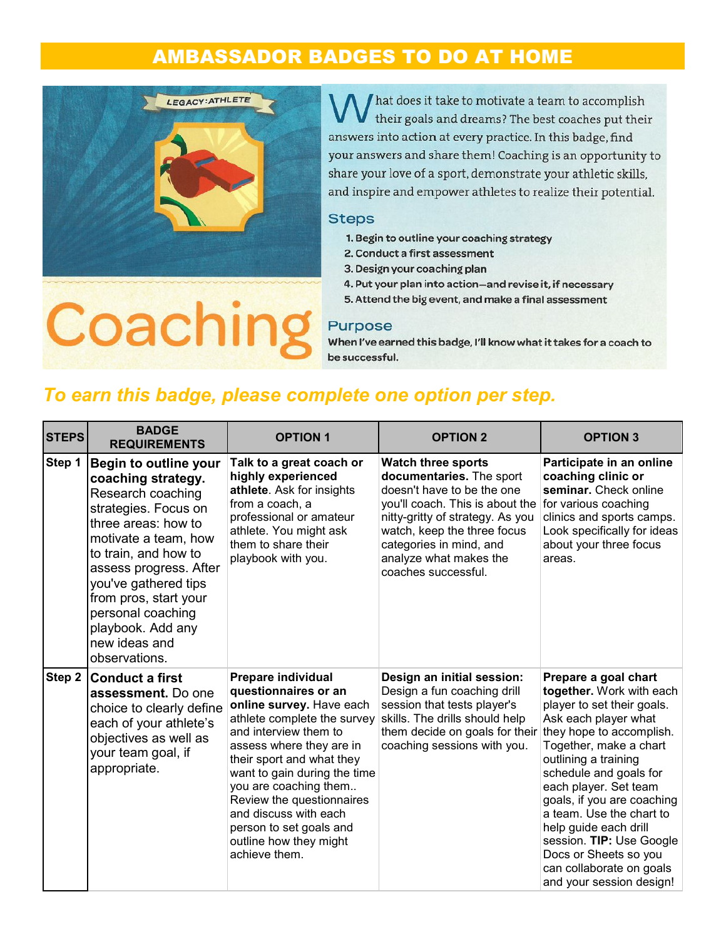## **AMBASSADOR BADGES TO DO AT HOME**



hat does it take to motivate a team to accomplish their goals and dreams? The best coaches put their answers into action at every practice. In this badge, find your answers and share them! Coaching is an opportunity to share your love of a sport, demonstrate your athletic skills, and inspire and empower athletes to realize their potential.

#### **Steps**

- 1. Begin to outline your coaching strategy
- 2. Conduct a first assessment
- 3. Design your coaching plan
- 4. Put your plan into action-and revise it, if necessary
- 5. Attend the big event, and make a final assessment

# Coachin

### Purpose

When I've earned this badge, I'll know what it takes for a coach to be successful.

### To earn this badge, please complete one option per step.

| <b>STEPS</b> | <b>BADGE</b><br><b>REQUIREMENTS</b>                                                                                                                                                                                                                                                                                    | <b>OPTION 1</b>                                                                                                                                                                                                                                                                                                                                                              | <b>OPTION 2</b>                                                                                                                                                                                                                                                       | <b>OPTION 3</b>                                                                                                                                                                                                                                                                                                                                                                                                                         |
|--------------|------------------------------------------------------------------------------------------------------------------------------------------------------------------------------------------------------------------------------------------------------------------------------------------------------------------------|------------------------------------------------------------------------------------------------------------------------------------------------------------------------------------------------------------------------------------------------------------------------------------------------------------------------------------------------------------------------------|-----------------------------------------------------------------------------------------------------------------------------------------------------------------------------------------------------------------------------------------------------------------------|-----------------------------------------------------------------------------------------------------------------------------------------------------------------------------------------------------------------------------------------------------------------------------------------------------------------------------------------------------------------------------------------------------------------------------------------|
| Step 1       | Begin to outline your<br>coaching strategy.<br>Research coaching<br>strategies. Focus on<br>three areas: how to<br>motivate a team, how<br>to train, and how to<br>assess progress. After<br>you've gathered tips<br>from pros, start your<br>personal coaching<br>playbook. Add any<br>new ideas and<br>observations. | Talk to a great coach or<br>highly experienced<br>athlete. Ask for insights<br>from a coach, a<br>professional or amateur<br>athlete. You might ask<br>them to share their<br>playbook with you.                                                                                                                                                                             | <b>Watch three sports</b><br>documentaries. The sport<br>doesn't have to be the one<br>you'll coach. This is about the<br>nitty-gritty of strategy. As you<br>watch, keep the three focus<br>categories in mind, and<br>analyze what makes the<br>coaches successful. | Participate in an online<br>coaching clinic or<br>seminar. Check online<br>for various coaching<br>clinics and sports camps.<br>Look specifically for ideas<br>about your three focus<br>areas.                                                                                                                                                                                                                                         |
| Step 2       | <b>Conduct a first</b><br>assessment. Do one<br>choice to clearly define<br>each of your athlete's<br>objectives as well as<br>your team goal, if<br>appropriate.                                                                                                                                                      | Prepare individual<br>questionnaires or an<br>online survey. Have each<br>athlete complete the survey<br>and interview them to<br>assess where they are in<br>their sport and what they<br>want to gain during the time<br>you are coaching them<br>Review the questionnaires<br>and discuss with each<br>person to set goals and<br>outline how they might<br>achieve them. | Design an initial session:<br>Design a fun coaching drill<br>session that tests player's<br>skills. The drills should help<br>them decide on goals for their<br>coaching sessions with you.                                                                           | Prepare a goal chart<br>together. Work with each<br>player to set their goals.<br>Ask each player what<br>they hope to accomplish.<br>Together, make a chart<br>outlining a training<br>schedule and goals for<br>each player. Set team<br>goals, if you are coaching<br>a team. Use the chart to<br>help guide each drill<br>session. TIP: Use Google<br>Docs or Sheets so you<br>can collaborate on goals<br>and your session design! |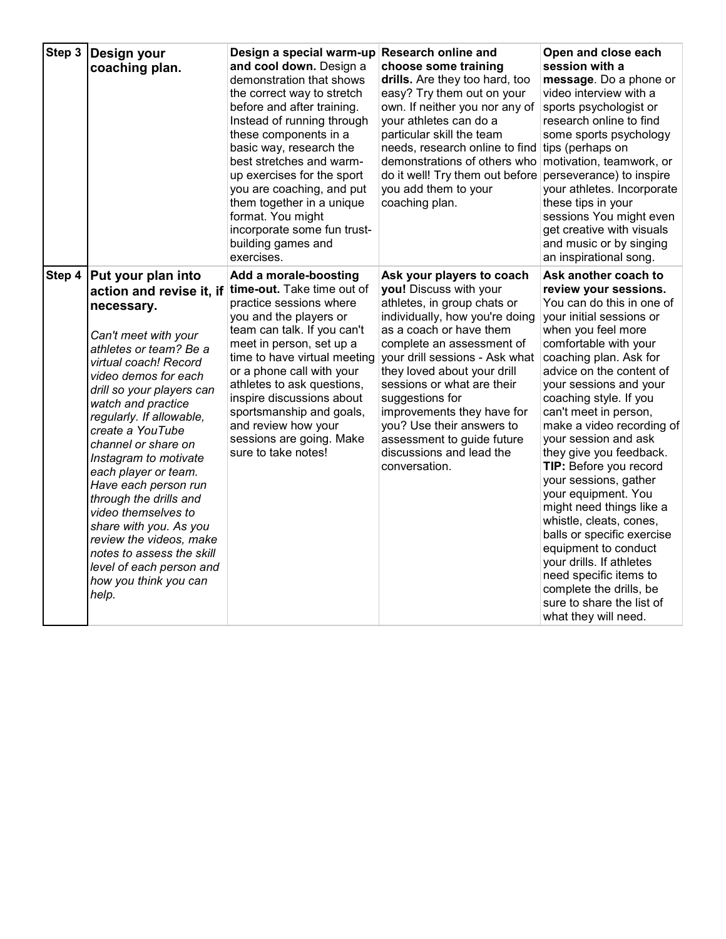| Step 3 | Design your<br>coaching plan.                                                                                                                                                                                                                                                                                                                                                                                                                                                                                                                                       | Design a special warm-up<br>and cool down. Design a<br>demonstration that shows<br>the correct way to stretch<br>before and after training.<br>Instead of running through<br>these components in a<br>basic way, research the<br>best stretches and warm-<br>up exercises for the sport<br>you are coaching, and put<br>them together in a unique<br>format. You might<br>incorporate some fun trust-<br>building games and<br>exercises. | <b>Research online and</b><br>choose some training<br>drills. Are they too hard, too<br>easy? Try them out on your<br>own. If neither you nor any of<br>your athletes can do a<br>particular skill the team<br>needs, research online to find tips (perhaps on<br>demonstrations of others who<br>do it well! Try them out before<br>you add them to your<br>coaching plan.                                                          | Open and close each<br>session with a<br>message. Do a phone or<br>video interview with a<br>sports psychologist or<br>research online to find<br>some sports psychology<br>motivation, teamwork, or<br>perseverance) to inspire<br>your athletes. Incorporate<br>these tips in your<br>sessions You might even<br>get creative with visuals<br>and music or by singing<br>an inspirational song.                                                                                                                                                                                                                                                                                                     |
|--------|---------------------------------------------------------------------------------------------------------------------------------------------------------------------------------------------------------------------------------------------------------------------------------------------------------------------------------------------------------------------------------------------------------------------------------------------------------------------------------------------------------------------------------------------------------------------|-------------------------------------------------------------------------------------------------------------------------------------------------------------------------------------------------------------------------------------------------------------------------------------------------------------------------------------------------------------------------------------------------------------------------------------------|--------------------------------------------------------------------------------------------------------------------------------------------------------------------------------------------------------------------------------------------------------------------------------------------------------------------------------------------------------------------------------------------------------------------------------------|-------------------------------------------------------------------------------------------------------------------------------------------------------------------------------------------------------------------------------------------------------------------------------------------------------------------------------------------------------------------------------------------------------------------------------------------------------------------------------------------------------------------------------------------------------------------------------------------------------------------------------------------------------------------------------------------------------|
| Step 4 | Put your plan into<br>action and revise it, if<br>necessary.<br>Can't meet with your<br>athletes or team? Be a<br>virtual coach! Record<br>video demos for each<br>drill so your players can<br>watch and practice<br>regularly. If allowable,<br>create a YouTube<br>channel or share on<br>Instagram to motivate<br>each player or team.<br>Have each person run<br>through the drills and<br>video themselves to<br>share with you. As you<br>review the videos, make<br>notes to assess the skill<br>level of each person and<br>how you think you can<br>help. | Add a morale-boosting<br>time-out. Take time out of<br>practice sessions where<br>you and the players or<br>team can talk. If you can't<br>meet in person, set up a<br>time to have virtual meeting<br>or a phone call with your<br>athletes to ask questions,<br>inspire discussions about<br>sportsmanship and goals,<br>and review how your<br>sessions are going. Make<br>sure to take notes!                                         | Ask your players to coach<br>you! Discuss with your<br>athletes, in group chats or<br>individually, how you're doing<br>as a coach or have them<br>complete an assessment of<br>your drill sessions - Ask what<br>they loved about your drill<br>sessions or what are their<br>suggestions for<br>improvements they have for<br>you? Use their answers to<br>assessment to guide future<br>discussions and lead the<br>conversation. | Ask another coach to<br>review your sessions.<br>You can do this in one of<br>your initial sessions or<br>when you feel more<br>comfortable with your<br>coaching plan. Ask for<br>advice on the content of<br>your sessions and your<br>coaching style. If you<br>can't meet in person,<br>make a video recording of<br>your session and ask<br>they give you feedback.<br>TIP: Before you record<br>your sessions, gather<br>your equipment. You<br>might need things like a<br>whistle, cleats, cones,<br>balls or specific exercise<br>equipment to conduct<br>your drills. If athletes<br>need specific items to<br>complete the drills, be<br>sure to share the list of<br>what they will need. |